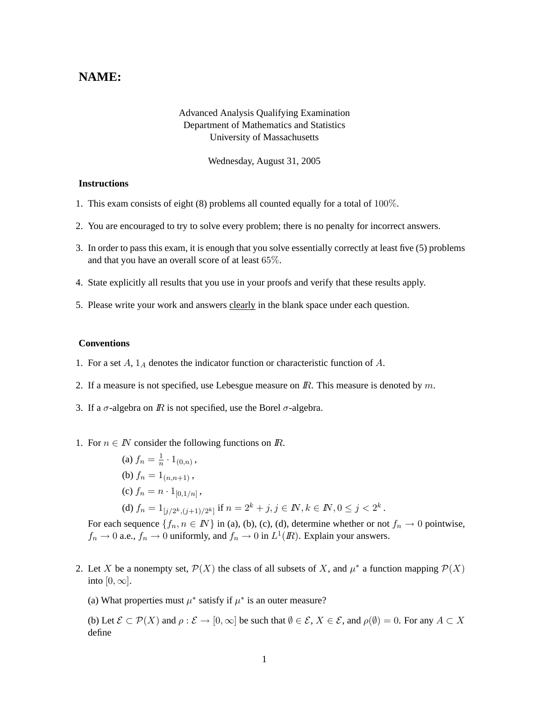## **NAME:**

## Advanced Analysis Qualifying Examination Department of Mathematics and Statistics University of Massachusetts

Wednesday, August 31, 2005

## **Instructions**

- 1. This exam consists of eight (8) problems all counted equally for a total of 100%.
- 2. You are encouraged to try to solve every problem; there is no penalty for incorrect answers.
- 3. In order to pass this exam, it is enough that you solve essentially correctly at least five (5) problems and that you have an overall score of at least 65%.
- 4. State explicitly all results that you use in your proofs and verify that these results apply.
- 5. Please write your work and answers clearly in the blank space under each question.

## **Conventions**

- 1. For a set  $A$ ,  $1_A$  denotes the indicator function or characteristic function of  $A$ .
- 2. If a measure is not specified, use Lebesgue measure on  $\mathbb{R}$ . This measure is denoted by  $m$ .
- 3. If a  $\sigma$ -algebra on  $\mathbb R$  is not specified, use the Borel  $\sigma$ -algebra.
- 1. For  $n \in \mathbb{N}$  consider the following functions on  $\mathbb{R}$ .
	- (a)  $f_n = \frac{1}{n}$  $\frac{1}{n} \cdot 1_{(0,n)}$  , (b)  $f_n = 1_{(n,n+1)}$ , (c)  $f_n = n \cdot 1_{[0,1/n]}$ ,

(d) 
$$
f_n = 1_{[j/2^k, (j+1)/2^k]}
$$
 if  $n = 2^k + j, j \in \mathbb{N}, k \in \mathbb{N}, 0 \le j < 2^k$ .

For each sequence  $\{f_n, n \in \mathbb{N}\}\$ in (a), (b), (c), (d), determine whether or not  $f_n \to 0$  pointwise,  $f_n \to 0$  a.e.,  $f_n \to 0$  uniformly, and  $f_n \to 0$  in  $L^1(\mathbb{R})$ . Explain your answers.

- 2. Let X be a nonempty set,  $\mathcal{P}(X)$  the class of all subsets of X, and  $\mu^*$  a function mapping  $\mathcal{P}(X)$ into  $[0, \infty]$ .
	- (a) What properties must  $\mu^*$  satisfy if  $\mu^*$  is an outer measure?

(b) Let  $\mathcal{E} \subset \mathcal{P}(X)$  and  $\rho : \mathcal{E} \to [0,\infty]$  be such that  $\emptyset \in \mathcal{E}, X \in \mathcal{E}$ , and  $\rho(\emptyset) = 0$ . For any  $A \subset X$ define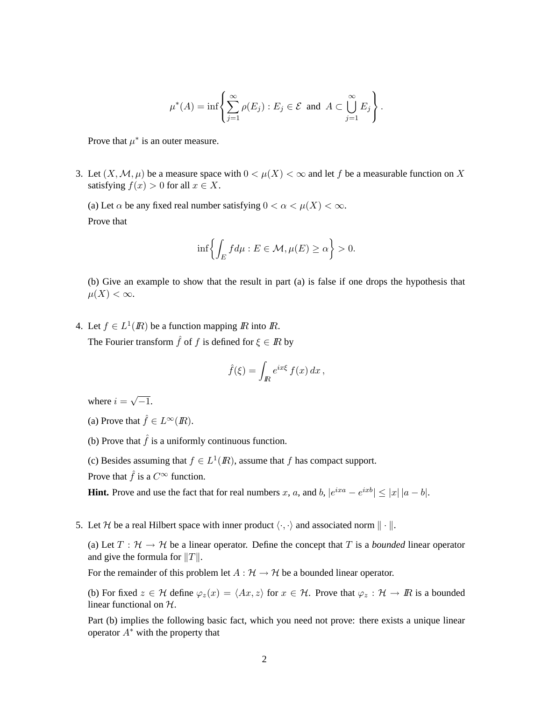$$
\mu^*(A) = \inf \left\{ \sum_{j=1}^{\infty} \rho(E_j) : E_j \in \mathcal{E} \text{ and } A \subset \bigcup_{j=1}^{\infty} E_j \right\}.
$$

Prove that  $\mu^*$  is an outer measure.

3. Let  $(X, \mathcal{M}, \mu)$  be a measure space with  $0 < \mu(X) < \infty$  and let f be a measurable function on X satisfying  $f(x) > 0$  for all  $x \in X$ .

(a) Let  $\alpha$  be any fixed real number satisfying  $0 < \alpha < \mu(X) < \infty$ . Prove that

$$
\inf \left\{ \int_E f d\mu : E \in \mathcal{M}, \mu(E) \ge \alpha \right\} > 0.
$$

(b) Give an example to show that the result in part (a) is false if one drops the hypothesis that  $\mu(X) < \infty$ .

4. Let  $f \in L^1(\mathbb{R})$  be a function mapping  $\mathbb{R}$  into  $\mathbb{R}$ .

The Fourier transform  $\hat{f}$  of f is defined for  $\xi \in \mathbb{R}$  by

$$
\hat{f}(\xi) = \int_{I\!\!R} e^{ix\xi} f(x) dx,
$$

where  $i =$ √  $\overline{-1}$ .

(a) Prove that  $\hat{f} \in L^{\infty}(\mathbb{R})$ .

(b) Prove that  $\hat{f}$  is a uniformly continuous function.

(c) Besides assuming that  $f \in L^1(\mathbb{R})$ , assume that f has compact support.

Prove that  $\hat{f}$  is a  $C^{\infty}$  function.

**Hint.** Prove and use the fact that for real numbers x, a, and b,  $|e^{ixa} - e^{ixb}| \leq |x| |a - b|$ .

5. Let H be a real Hilbert space with inner product  $\langle \cdot, \cdot \rangle$  and associated norm  $\|\cdot\|$ .

(a) Let  $T : \mathcal{H} \to \mathcal{H}$  be a linear operator. Define the concept that T is a *bounded* linear operator and give the formula for  $||T||$ .

For the remainder of this problem let  $A : \mathcal{H} \to \mathcal{H}$  be a bounded linear operator.

(b) For fixed  $z \in \mathcal{H}$  define  $\varphi_z(x) = \langle Ax, z \rangle$  for  $x \in \mathcal{H}$ . Prove that  $\varphi_z : \mathcal{H} \to \mathbb{R}$  is a bounded linear functional on H.

Part (b) implies the following basic fact, which you need not prove: there exists a unique linear operator  $A^*$  with the property that